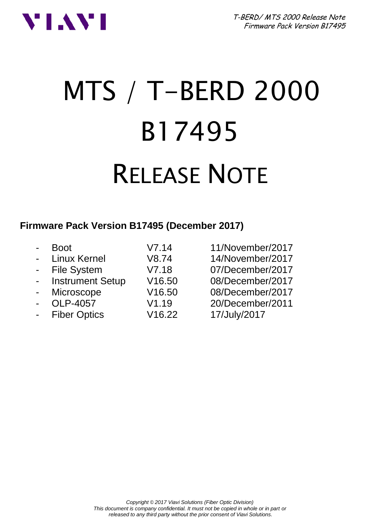



# MTS / T-BERD 2000 B17495 RELEASE NOTE

#### **Firmware Pack Version B17495 (December 2017)**

| $\blacksquare$ | Boot                | V7.14  | 11/November/2017 |
|----------------|---------------------|--------|------------------|
|                | - Linux Kernel      | V8.74  | 14/November/2017 |
|                | - File System       | V7.18  | 07/December/2017 |
|                | - Instrument Setup  | V16.50 | 08/December/2017 |
|                | - Microscope        | V16.50 | 08/December/2017 |
| $\sim$         | OLP-4057            | V1.19  | 20/December/2011 |
| $\sim 10^{-1}$ | <b>Fiber Optics</b> | V16.22 | 17/July/2017     |
|                |                     |        |                  |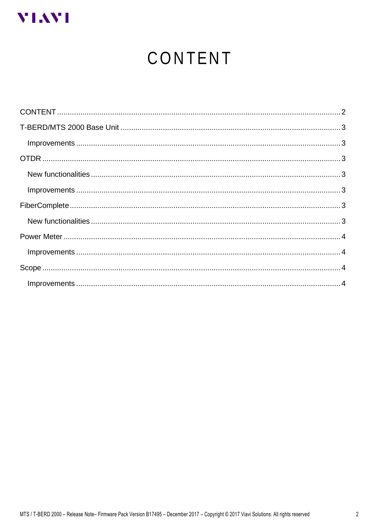<span id="page-1-0"></span>

# CONTENT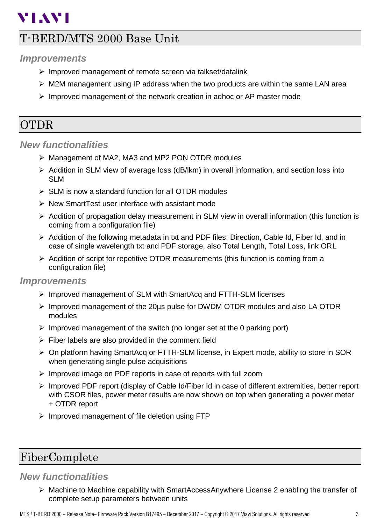## **VIAVI**

## <span id="page-2-0"></span>T-BERD/MTS 2000 Base Unit

#### <span id="page-2-1"></span>*Improvements*

- ➢ Improved management of remote screen via talkset/datalink
- $\triangleright$  M2M management using IP address when the two products are within the same LAN area
- ➢ Improved management of the network creation in adhoc or AP master mode

### <span id="page-2-2"></span>OTDR

#### <span id="page-2-3"></span>*New functionalities*

- ➢ Management of MA2, MA3 and MP2 PON OTDR modules
- ➢ Addition in SLM view of average loss (dB/lkm) in overall information, and section loss into SLM
- ➢ SLM is now a standard function for all OTDR modules
- ➢ New SmartTest user interface with assistant mode
- $\triangleright$  Addition of propagation delay measurement in SLM view in overall information (this function is coming from a configuration file)
- ➢ Addition of the following metadata in txt and PDF files: Direction, Cable Id, Fiber Id, and in case of single wavelength txt and PDF storage, also Total Length, Total Loss, link ORL
- $\triangleright$  Addition of script for repetitive OTDR measurements (this function is coming from a configuration file)

#### <span id="page-2-4"></span>*Improvements*

- ➢ Improved management of SLM with SmartAcq and FTTH-SLM licenses
- ➢ Improved management of the 20µs pulse for DWDM OTDR modules and also LA OTDR modules
- $\triangleright$  Improved management of the switch (no longer set at the 0 parking port)
- $\triangleright$  Fiber labels are also provided in the comment field
- ➢ On platform having SmartAcq or FTTH-SLM license, in Expert mode, ability to store in SOR when generating single pulse acquisitions
- ➢ Improved image on PDF reports in case of reports with full zoom
- ➢ Improved PDF report (display of Cable Id/Fiber Id in case of different extremities, better report with CSOR files, power meter results are now shown on top when generating a power meter + OTDR report
- ➢ Improved management of file deletion using FTP

## <span id="page-2-5"></span>FiberComplete

#### <span id="page-2-6"></span>*New functionalities*

➢ Machine to Machine capability with SmartAccessAnywhere License 2 enabling the transfer of complete setup parameters between units